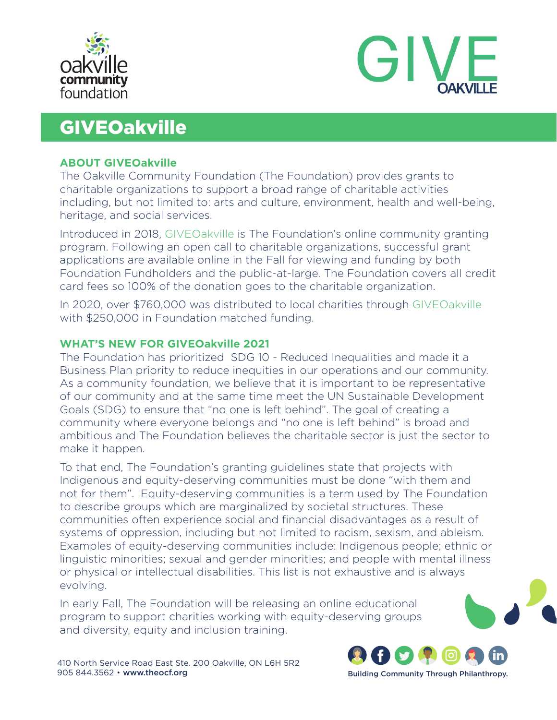



# **GIVEOakville**

# **ABOUT GIVEOakville**

The Oakville Community Foundation (The Foundation) provides grants to charitable organizations to support a broad range of charitable activities including, but not limited to: arts and culture, environment, health and well-being, heritage, and social services.

Introduced in 2018, GIVEOakville is The Foundation's online community granting program. Following an open call to charitable organizations, successful grant applications are available online in the Fall for viewing and funding by both Foundation Fundholders and the public-at-large. The Foundation covers all credit card fees so 100% of the donation goes to the charitable organization.

In 2020, over \$760,000 was distributed to local charities through GIVEOakville with \$250,000 in Foundation matched funding.

# **WHAT'S NEW FOR GIVEOakville 2021**

The Foundation has prioritized SDG 10 - Reduced Inequalities and made it a Business Plan priority to reduce inequities in our operations and our community. As a community foundation, we believe that it is important to be representative of our community and at the same time meet the UN Sustainable Development Goals (SDG) to ensure that "no one is left behind". The goal of creating a community where everyone belongs and "no one is left behind" is broad and ambitious and The Foundation believes the charitable sector is just the sector to make it happen.

To that end, The Foundation's granting guidelines state that projects with Indigenous and equity-deserving communities must be done "with them and not for them". Equity-deserving communities is a term used by The Foundation to describe groups which are marginalized by societal structures. These communities often experience social and financial disadvantages as a result of systems of oppression, including but not limited to racism, sexism, and ableism. Examples of equity-deserving communities include: Indigenous people; ethnic or linguistic minorities; sexual and gender minorities; and people with mental illness or physical or intellectual disabilities. This list is not exhaustive and is always evolving.

In early Fall, The Foundation will be releasing an online educational program to support charities working with equity-deserving groups and diversity, equity and inclusion training.

410 North Service Road East Ste. 200 Oakville, ON L6H 5R2 905 844.3562 • www.theocf.org

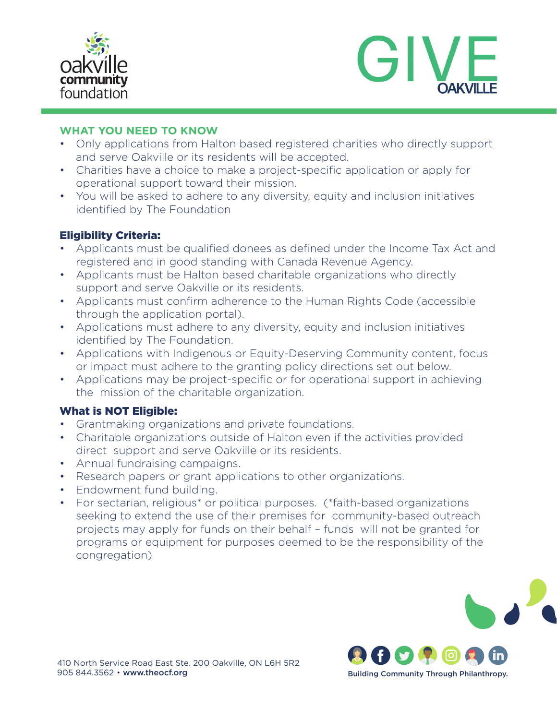



# **WHAT YOU NEED TO KNOW**

- Only applications from Halton based registered charities who directly support and serve Oakville or its residents will be accepted.
- Charities have a choice to make a project-specific application or apply for operational support toward their mission.
- You will be asked to adhere to any diversity, equity and inclusion initiatives identified by The Foundation

# Eligibility Criteria:

- Applicants must be qualified donees as defined under the Income Tax Act and registered and in good standing with Canada Revenue Agency.
- Applicants must be Halton based charitable organizations who directly support and serve Oakville or its residents.
- Applicants must confirm adherence to the Human Rights Code (accessible through the application portal).
- Applications must adhere to any diversity, equity and inclusion initiatives identified by The Foundation.
- Applications with Indigenous or Equity-Deserving Community content, focus or impact must adhere to the granting policy directions set out below.
- Applications may be project-specific or for operational support in achieving the mission of the charitable organization.

# What is NOT Eligible:

- Grantmaking organizations and private foundations.
- Charitable organizations outside of Halton even if the activities provided direct support and serve Oakville or its residents.
- Annual fundraising campaigns.
- Research papers or grant applications to other organizations.
- Endowment fund building.
- For sectarian, religious\* or political purposes. (\*faith-based organizations seeking to extend the use of their premises for community-based outreach projects may apply for funds on their behalf – funds will not be granted for programs or equipment for purposes deemed to be the responsibility of the congregation)



Building Community Through Philanthropy.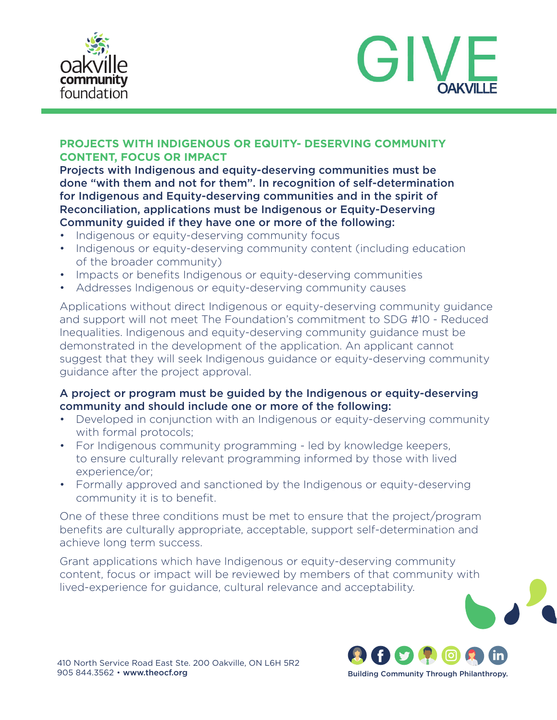



# **PROJECTS WITH INDIGENOUS OR EQUITY- DESERVING COMMUNITY CONTENT, FOCUS OR IMPACT**

Projects with Indigenous and equity-deserving communities must be done "with them and not for them". In recognition of self-determination for Indigenous and Equity-deserving communities and in the spirit of Reconciliation, applications must be Indigenous or Equity-Deserving Community guided if they have one or more of the following:

- Indigenous or equity-deserving community focus
- Indigenous or equity-deserving community content (including education of the broader community)
- Impacts or benefits Indigenous or equity-deserving communities
- Addresses Indigenous or equity-deserving community causes

Applications without direct Indigenous or equity-deserving community guidance and support will not meet The Foundation's commitment to SDG #10 - Reduced Inequalities. Indigenous and equity-deserving community guidance must be demonstrated in the development of the application. An applicant cannot suggest that they will seek Indigenous guidance or equity-deserving community guidance after the project approval.

# A project or program must be guided by the Indigenous or equity-deserving community and should include one or more of the following:

- Developed in conjunction with an Indigenous or equity-deserving community with formal protocols;
- For Indigenous community programming led by knowledge keepers, to ensure culturally relevant programming informed by those with lived experience/or;
- Formally approved and sanctioned by the Indigenous or equity-deserving community it is to benefit.

One of these three conditions must be met to ensure that the project/program benefits are culturally appropriate, acceptable, support self-determination and achieve long term success.

Grant applications which have Indigenous or equity-deserving community content, focus or impact will be reviewed by members of that community with lived-experience for guidance, cultural relevance and acceptability.



Building Community Through Philanthropy.

410 North Service Road East Ste. 200 Oakville, ON L6H 5R2 905 844.3562 • www.theocf.org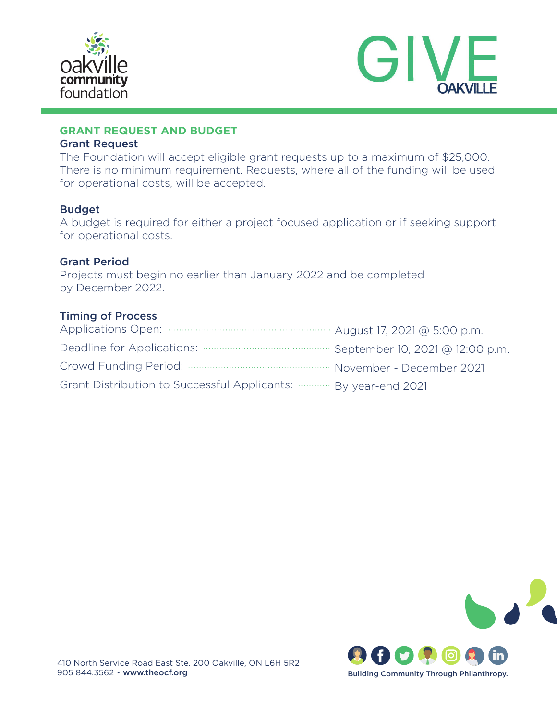



# **GRANT REQUEST AND BUDGET**

#### Grant Request

The Foundation will accept eligible grant requests up to a maximum of \$25,000. There is no minimum requirement. Requests, where all of the funding will be used for operational costs, will be accepted.

# Budget

A budget is required for either a project focused application or if seeking support for operational costs.

# Grant Period

Projects must begin no earlier than January 2022 and be completed by December 2022.

# Timing of Process

| Grant Distribution to Successful Applicants:  By year-end 2021 |  |
|----------------------------------------------------------------|--|

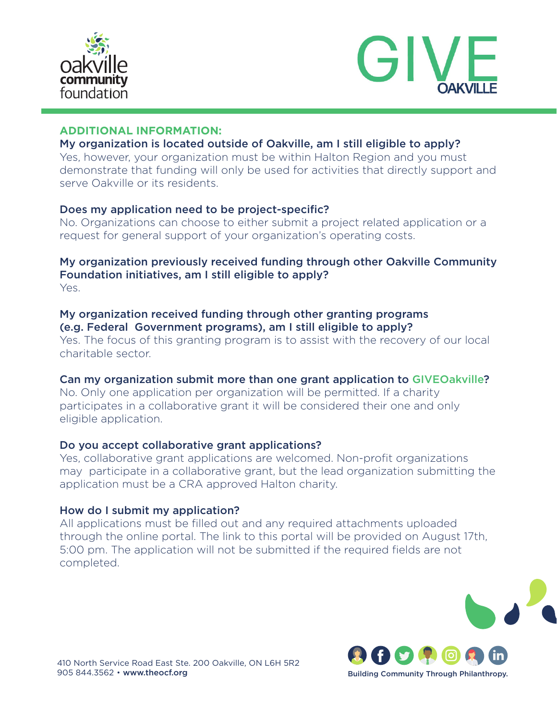



# **ADDITIONAL INFORMATION:**

# My organization is located outside of Oakville, am I still eligible to apply?

Yes, however, your organization must be within Halton Region and you must demonstrate that funding will only be used for activities that directly support and serve Oakville or its residents.

#### Does my application need to be project-specific?

No. Organizations can choose to either submit a project related application or a request for general support of your organization's operating costs.

# My organization previously received funding through other Oakville Community Foundation initiatives, am I still eligible to apply? Yes.

# My organization received funding through other granting programs (e.g. Federal Government programs), am I still eligible to apply?

Yes. The focus of this granting program is to assist with the recovery of our local charitable sector.

#### Can my organization submit more than one grant application to GIVEOakville?

No. Only one application per organization will be permitted. If a charity participates in a collaborative grant it will be considered their one and only eligible application.

#### Do you accept collaborative grant applications?

Yes, collaborative grant applications are welcomed. Non-profit organizations may participate in a collaborative grant, but the lead organization submitting the application must be a CRA approved Halton charity.

#### How do I submit my application?

All applications must be filled out and any required attachments uploaded through the online portal. The link to this portal will be provided on August 17th, 5:00 pm. The application will not be submitted if the required fields are not completed.



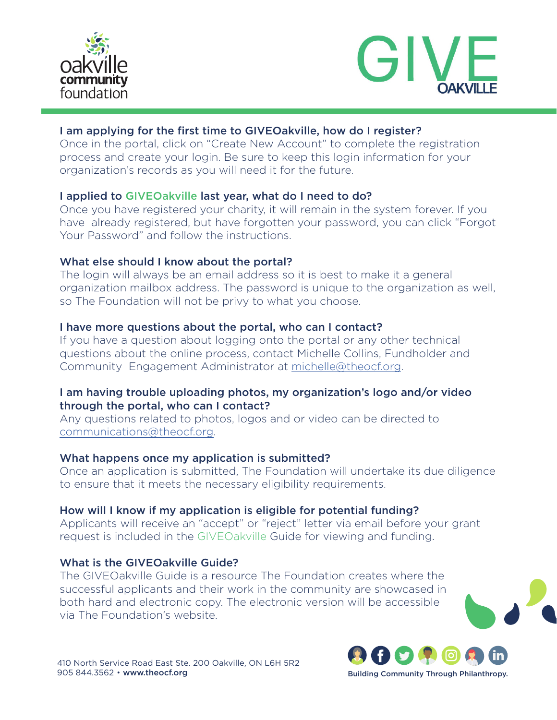



# I am applying for the first time to GIVEOakville, how do I register?

Once in the portal, click on "Create New Account" to complete the registration process and create your login. Be sure to keep this login information for your organization's records as you will need it for the future.

# I applied to GIVEOakville last year, what do I need to do?

Once you have registered your charity, it will remain in the system forever. If you have already registered, but have forgotten your password, you can click "Forgot Your Password" and follow the instructions.

# What else should I know about the portal?

The login will always be an email address so it is best to make it a general organization mailbox address. The password is unique to the organization as well, so The Foundation will not be privy to what you choose.

# I have more questions about the portal, who can I contact?

If you have a question about logging onto the portal or any other technical questions about the online process, contact Michelle Collins, Fundholder and Community Engagement Administrator at [michelle@theocf.org](mailto:michelle%40theocf.org?subject=).

# I am having trouble uploading photos, my organization's logo and/or video through the portal, who can I contact?

Any questions related to photos, logos and or video can be directed to [communications@theocf.org.](mailto:communications%40theocf.org?subject=)

#### What happens once my application is submitted?

Once an application is submitted, The Foundation will undertake its due diligence to ensure that it meets the necessary eligibility requirements.

#### How will I know if my application is eligible for potential funding?

Applicants will receive an "accept" or "reject" letter via email before your grant request is included in the GIVEOakville Guide for viewing and funding.

# What is the GIVEOakville Guide?

The GIVEOakville Guide is a resource The Foundation creates where the successful applicants and their work in the community are showcased in both hard and electronic copy. The electronic version will be accessible via The Foundation's website.